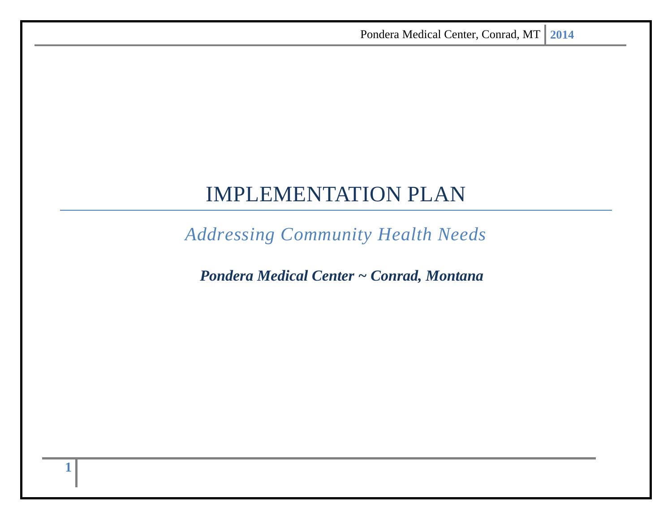# IMPLEMENTATION PLAN

*Addressing Community Health Needs* 

*Pondera Medical Center ~ Conrad, Montana*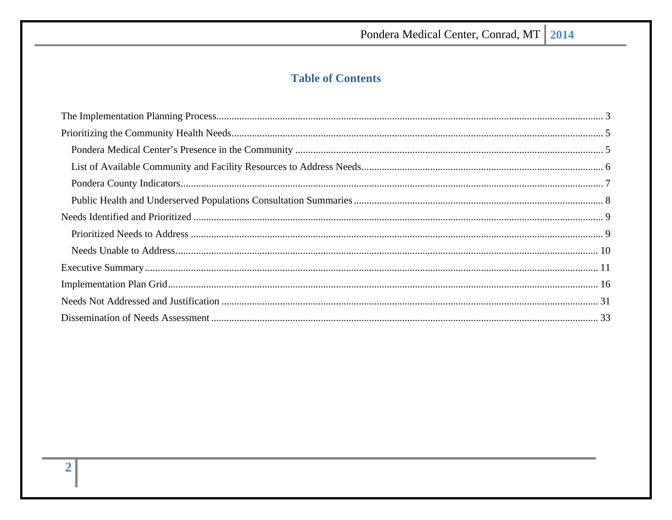# **Table of Contents**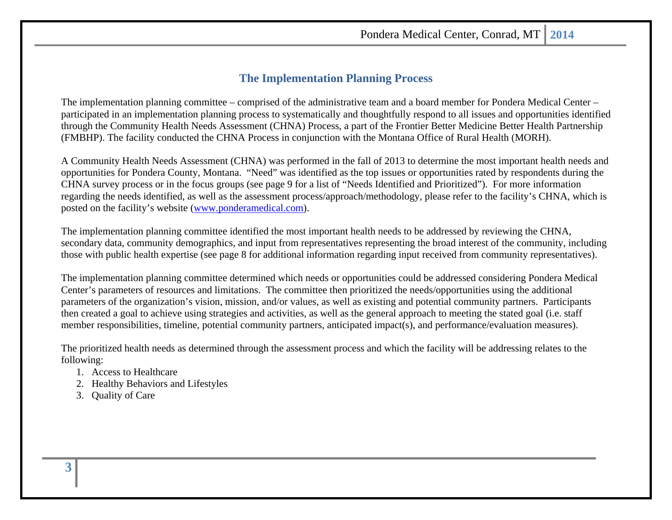# **The Implementation Planning Process**

The implementation planning committee – comprised of the administrative team and a board member for Pondera Medical Center – participated in an implementation planning process to systematically and thoughtfully respond to all issues and opportunities identified through the Community Health Needs Assessment (CHNA) Process, a part of the Frontier Better Medicine Better Health Partnership (FMBHP). The facility conducted the CHNA Process in conjunction with the Montana Office of Rural Health (MORH).

A Community Health Needs Assessment (CHNA) was performed in the fall of 2013 to determine the most important health needs and opportunities for Pondera County, Montana. "Need" was identified as the top issues or opportunities rated by respondents during the CHNA survey process or in the focus groups (see page 9 for a list of "Needs Identified and Prioritized"). For more information regarding the needs identified, as well as the assessment process/approach/methodology, please refer to the facility's CHNA, which is posted on the facility's website (www.ponderamedical.com).

The implementation planning committee identified the most important health needs to be addressed by reviewing the CHNA, secondary data, community demographics, and input from representatives representing the broad interest of the community, including those with public health expertise (see page 8 for additional information regarding input received from community representatives).

The implementation planning committee determined which needs or opportunities could be addressed considering Pondera Medical Center's parameters of resources and limitations. The committee then prioritized the needs/opportunities using the additional parameters of the organization's vision, mission, and/or values, as well as existing and potential community partners. Participants then created a goal to achieve using strategies and activities, as well as the general approach to meeting the stated goal (i.e. staff member responsibilities, timeline, potential community partners, anticipated impact(s), and performance/evaluation measures).

The prioritized health needs as determined through the assessment process and which the facility will be addressing relates to the following:

- 1. Access to Healthcare
- 2. Healthy Behaviors and Lifestyles
- 3. Quality of Care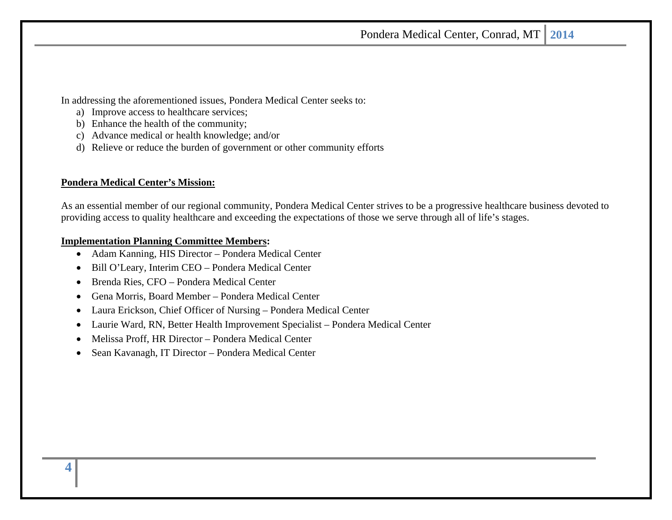In addressing the aforementioned issues, Pondera Medical Center seeks to:

- a) Improve access to healthcare services;
- b) Enhance the health of the community;
- c) Advance medical or health knowledge; and/or
- d) Relieve or reduce the burden of government or other community efforts

#### **Pondera Medical Center's Mission:**

As an essential member of our regional community, Pondera Medical Center strives to be a progressive healthcare business devoted to providing access to quality healthcare and exceeding the expectations of those we serve through all of life's stages.

#### **Implementation Planning Committee Members:**

- Adam Kanning, HIS Director Pondera Medical Center
- $\bullet$ Bill O'Leary, Interim CEO – Pondera Medical Center
- $\bullet$ Brenda Ries, CFO – Pondera Medical Center
- $\bullet$ Gena Morris, Board Member – Pondera Medical Center
- $\bullet$ Laura Erickson, Chief Officer of Nursing – Pondera Medical Center
- $\bullet$ Laurie Ward, RN, Better Health Improvement Specialist – Pondera Medical Center
- $\bullet$ Melissa Proff, HR Director – Pondera Medical Center
- $\bullet$ Sean Kavanagh, IT Director – Pondera Medical Center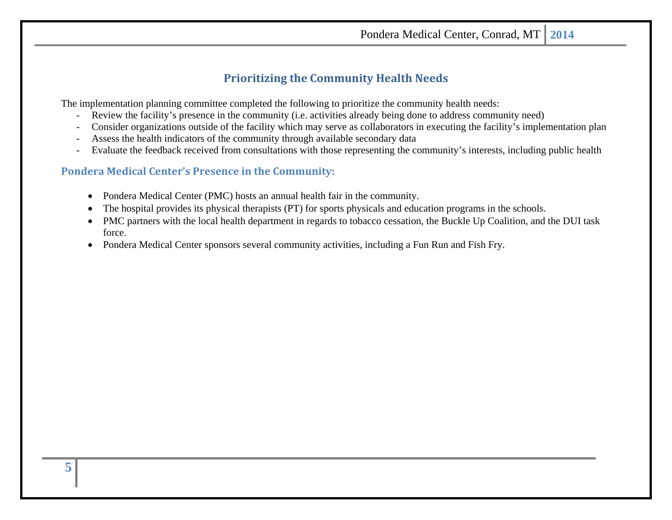# **Prioritizing the Community Health Needs**

The implementation planning committee completed the following to prioritize the community health needs:

- -Review the facility's presence in the community (i.e. activities already being done to address community need)
- Consider organizations outside of the facility which may serve as collaborators in executing the facility's implementation plan
- -Assess the health indicators of the community through available secondary data
- -Evaluate the feedback received from consultations with those representing the community's interests, including public health

#### **Pondera Medical Center's Presence in the Community:**

- Pondera Medical Center (PMC) hosts an annual health fair in the community.
- The hospital provides its physical therapists (PT) for sports physicals and education programs in the schools.
- PMC partners with the local health department in regards to tobacco cessation, the Buckle Up Coalition, and the DUI task force.
- . Pondera Medical Center sponsors several community activities, including a Fun Run and Fish Fry.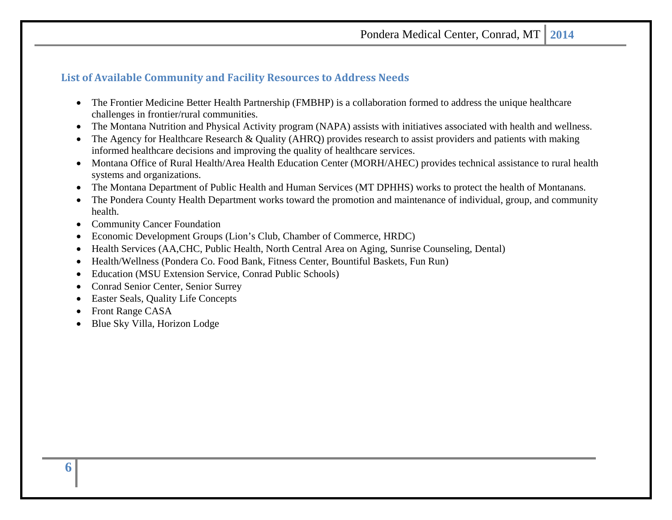# **List of Available Community and Facility Resources to Address Needs**

- $\bullet$  The Frontier Medicine Better Health Partnership (FMBHP) is a collaboration formed to address the unique healthcare challenges in frontier/rural communities.
- $\bullet$ The Montana Nutrition and Physical Activity program (NAPA) assists with initiatives associated with health and wellness.
- $\bullet$  The Agency for Healthcare Research & Quality (AHRQ) provides research to assist providers and patients with making informed healthcare decisions and improving the quality of healthcare services.
- Montana Office of Rural Health/Area Health Education Center (MORH/AHEC) provides technical assistance to rural health systems and organizations.
- $\bullet$ The Montana Department of Public Health and Human Services (MT DPHHS) works to protect the health of Montanans.
- $\bullet$  The Pondera County Health Department works toward the promotion and maintenance of individual, group, and community health.
- $\bullet$ Community Cancer Foundation
- $\bullet$ Economic Development Groups (Lion's Club, Chamber of Commerce, HRDC)
- $\bullet$ Health Services (AA,CHC, Public Health, North Central Area on Aging, Sunrise Counseling, Dental)
- $\bullet$ Health/Wellness (Pondera Co. Food Bank, Fitness Center, Bountiful Baskets, Fun Run)
- $\bullet$ Education (MSU Extension Service, Conrad Public Schools)
- $\bullet$ Conrad Senior Center, Senior Surrey
- . Easter Seals, Quality Life Concepts
- . Front Range CASA
- . Blue Sky Villa, Horizon Lodge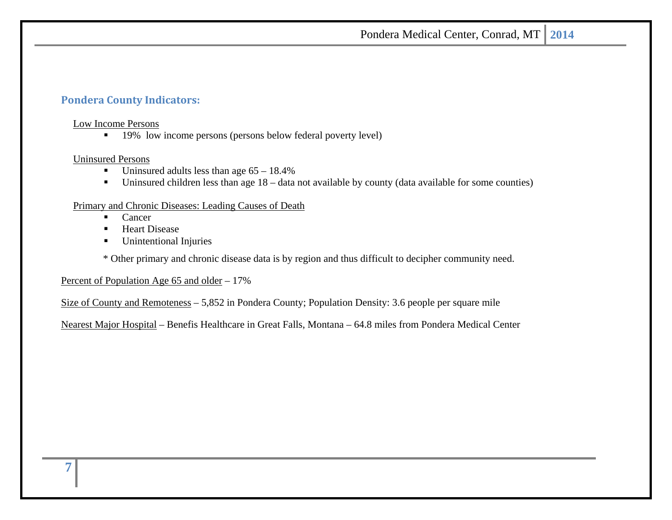#### **Pondera County Indicators:**

#### Low Income Persons

 $\blacksquare$ 19% low income persons (persons below federal poverty level)

#### Uninsured Persons

- $\blacksquare$ Uninsured adults less than age 65 – 18.4%
- $\blacksquare$ Uninsured children less than age 18 – data not available by county (data available for some counties)

#### Primary and Chronic Diseases: Leading Causes of Death

- Cancer
- $\blacksquare$ Heart Disease
- $\blacksquare$ Unintentional Injuries

\* Other primary and chronic disease data is by region and thus difficult to decipher community need.

Percent of Population Age 65 and older – 17%

Size of County and Remoteness – 5,852 in Pondera County; Population Density: 3.6 people per square mile

Nearest Major Hospital – Benefis Healthcare in Great Falls, Montana – 64.8 miles from Pondera Medical Center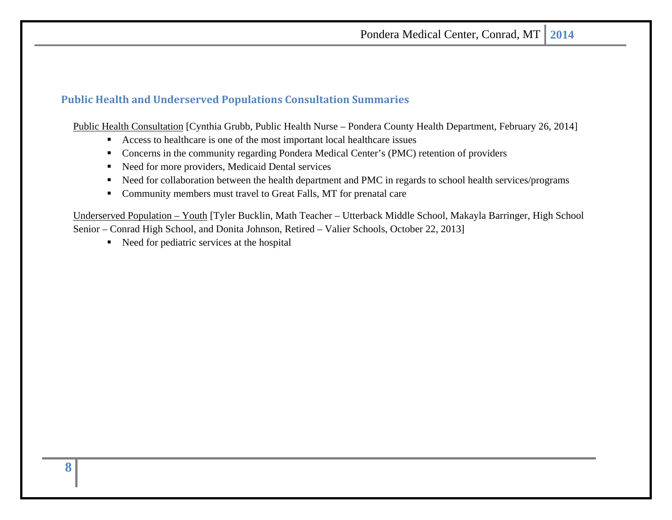## **Public Health and Underserved Populations Consultation Summaries**

Public Health Consultation [Cynthia Grubb, Public Health Nurse – Pondera County Health Department, February 26, 2014]

- Access to healthcare is one of the most important local healthcare issues
- Concerns in the community regarding Pondera Medical Center's (PMC) retention of providers
- Need for more providers, Medicaid Dental services
- $\mathbf{R}^{\text{max}}$ Need for collaboration between the health department and PMC in regards to school health services/programs
- Community members must travel to Great Falls, MT for prenatal care

Underserved Population – Youth [Tyler Bucklin, Math Teacher – Utterback Middle School, Makayla Barringer, High School Senior – Conrad High School, and Donita Johnson, Retired – Valier Schools, October 22, 2013]

■ Need for pediatric services at the hospital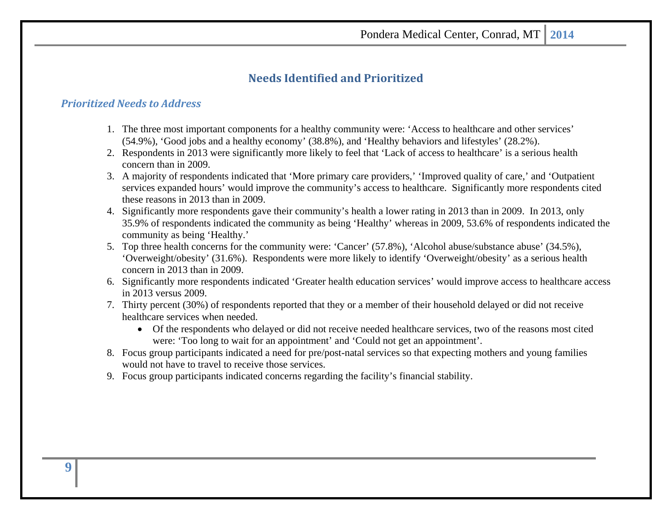# **Needs Identified and Prioritized**

#### *Prioritized Needs to Address*

- 1. The three most important components for a healthy community were: 'Access to healthcare and other services' (54.9%), 'Good jobs and a healthy economy' (38.8%), and 'Healthy behaviors and lifestyles' (28.2%).
- 2. Respondents in 2013 were significantly more likely to feel that 'Lack of access to healthcare' is a serious health concern than in 2009.
- 3. A majority of respondents indicated that 'More primary care providers,' 'Improved quality of care,' and 'Outpatient services expanded hours' would improve the community's access to healthcare. Significantly more respondents cited these reasons in 2013 than in 2009.
- 4. Significantly more respondents gave their community's health a lower rating in 2013 than in 2009. In 2013, only 35.9% of respondents indicated the community as being 'Healthy' whereas in 2009, 53.6% of respondents indicated the community as being 'Healthy.'
- 5. Top three health concerns for the community were: 'Cancer' (57.8%), 'Alcohol abuse/substance abuse' (34.5%), 'Overweight/obesity' (31.6%). Respondents were more likely to identify 'Overweight/obesity' as a serious health concern in 2013 than in 2009.
- 6. Significantly more respondents indicated 'Greater health education services' would improve access to healthcare access in 2013 versus 2009.
- 7. Thirty percent (30%) of respondents reported that they or a member of their household delayed or did not receive healthcare services when needed.
	- Of the respondents who delayed or did not receive needed healthcare services, two of the reasons most cited were: 'Too long to wait for an appointment' and 'Could not get an appointment'.
- 8. Focus group participants indicated a need for pre/post-natal services so that expecting mothers and young families would not have to travel to receive those services.
- 9. Focus group participants indicated concerns regarding the facility's financial stability.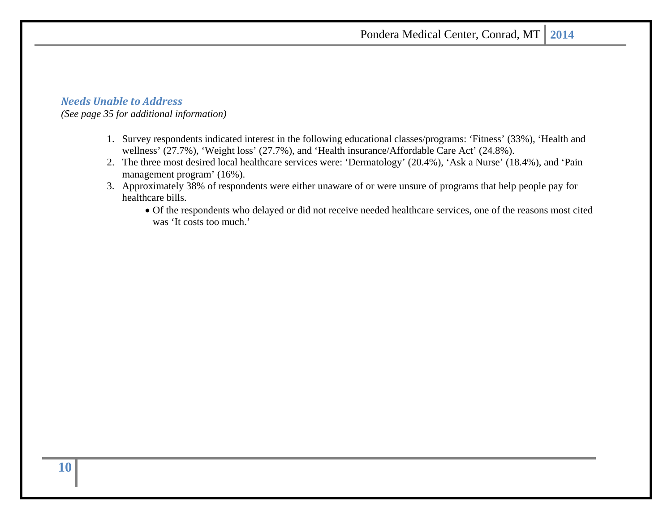#### *Needs Unable to Address*

*(See page 35 for additional information)* 

- 1. Survey respondents indicated interest in the following educational classes/programs: 'Fitness' (33%), 'Health and wellness' (27.7%), 'Weight loss' (27.7%), and 'Health insurance/Affordable Care Act' (24.8%).
- 2. The three most desired local healthcare services were: 'Dermatology' (20.4%), 'Ask a Nurse' (18.4%), and 'Pain management program' (16%).
- 3. Approximately 38% of respondents were either unaware of or were unsure of programs that help people pay for healthcare bills.
	- Of the respondents who delayed or did not receive needed healthcare services, one of the reasons most cited was 'It costs too much.'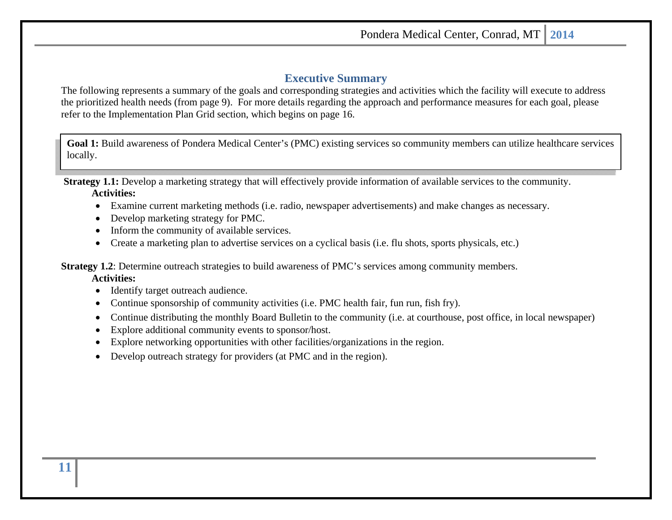# **Executive Summary**

The following represents a summary of the goals and corresponding strategies and activities which the facility will execute to address the prioritized health needs (from page 9). For more details regarding the approach and performance measures for each goal, please refer to the Implementation Plan Grid section, which begins on page 16.

**Goal 1:** Build awareness of Pondera Medical Center's (PMC) existing services so community members can utilize healthcare services locally.

**Strategy 1.1:** Develop a marketing strategy that will effectively provide information of available services to the community. **Activities:** 

- Examine current marketing methods (i.e. radio, newspaper advertisements) and make changes as necessary.
- . Develop marketing strategy for PMC.
- . Inform the community of available services.
- Create a marketing plan to advertise services on a cyclical basis (i.e. flu shots, sports physicals, etc.)

**Strategy 1.2**: Determine outreach strategies to build awareness of PMC's services among community members. **Activities:** 

- Identify target outreach audience.
- $\bullet$ Continue sponsorship of community activities (i.e. PMC health fair, fun run, fish fry).
- 0 Continue distributing the monthly Board Bulletin to the community (i.e. at courthouse, post office, in local newspaper)
- 0 Explore additional community events to sponsor/host.
- 0 Explore networking opportunities with other facilities/organizations in the region.
- . Develop outreach strategy for providers (at PMC and in the region).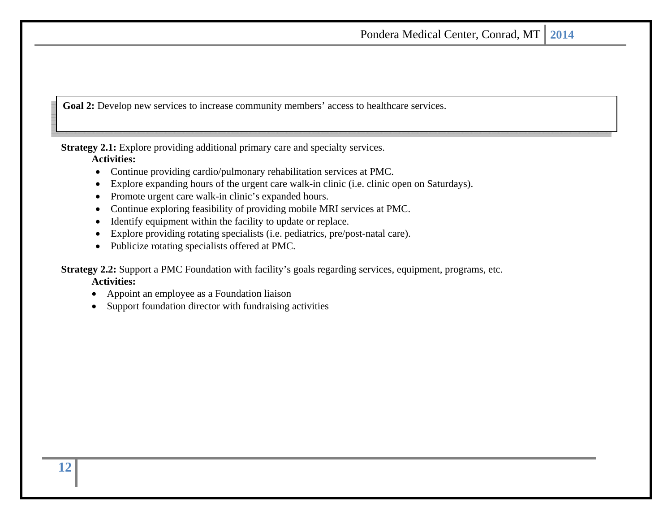Goal 2: Develop new services to increase community members' access to healthcare services.

**Strategy 2.1:** Explore providing additional primary care and specialty services. **Activities:** 

- $\bullet$ Continue providing cardio/pulmonary rehabilitation services at PMC.
- . Explore expanding hours of the urgent care walk-in clinic (i.e. clinic open on Saturdays).
- Promote urgent care walk-in clinic's expanded hours.
- $\bullet$ Continue exploring feasibility of providing mobile MRI services at PMC.
- $\bullet$ Identify equipment within the facility to update or replace.
- $\bullet$ Explore providing rotating specialists (i.e. pediatrics, pre/post-natal care).
- Publicize rotating specialists offered at PMC.

**Strategy 2.2:** Support a PMC Foundation with facility's goals regarding services, equipment, programs, etc. **Activities:** 

- Appoint an employee as a Foundation liaison
- Support foundation director with fundraising activities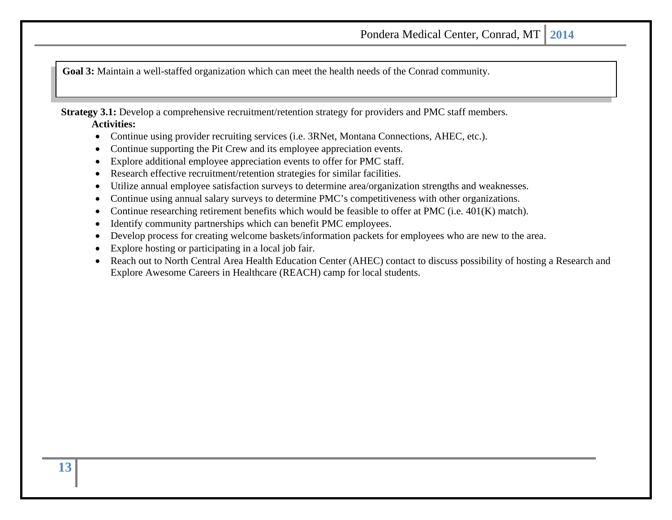**Goal 3:** Maintain a well-staffed organization which can meet the health needs of the Conrad community.

**Strategy 3.1:** Develop a comprehensive recruitment/retention strategy for providers and PMC staff members. **Activities:** 

- Continue using provider recruiting services (i.e. 3RNet, Montana Connections, AHEC, etc.).
- 0 Continue supporting the Pit Crew and its employee appreciation events.
- 0 Explore additional employee appreciation events to offer for PMC staff.
- 0 Research effective recruitment/retention strategies for similar facilities.
- $\bullet$ Utilize annual employee satisfaction surveys to determine area/organization strengths and weaknesses.
- 0 Continue using annual salary surveys to determine PMC's competitiveness with other organizations.
- 0 Continue researching retirement benefits which would be feasible to offer at PMC (i.e. 401(K) match).
- 0 Identify community partnerships which can benefit PMC employees.
- 0 Develop process for creating welcome baskets/information packets for employees who are new to the area.
- 0 Explore hosting or participating in a local job fair.
- 0 Reach out to North Central Area Health Education Center (AHEC) contact to discuss possibility of hosting a Research and Explore Awesome Careers in Healthcare (REACH) camp for local students.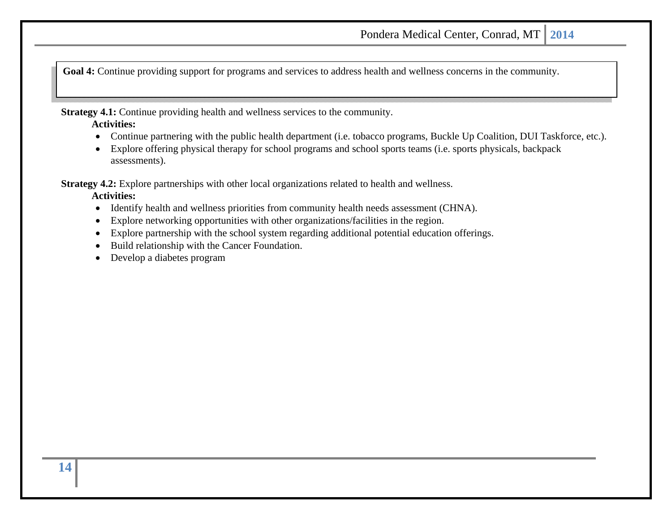**Goal 4:** Continue providing support for programs and services to address health and wellness concerns in the community.

**Strategy 4.1:** Continue providing health and wellness services to the community.

**Activities:** 

- Continue partnering with the public health department (i.e. tobacco programs, Buckle Up Coalition, DUI Taskforce, etc.).
- $\bullet$  Explore offering physical therapy for school programs and school sports teams (i.e. sports physicals, backpack assessments).

**Strategy 4.2:** Explore partnerships with other local organizations related to health and wellness.

#### **Activities:**

- Identify health and wellness priorities from community health needs assessment (CHNA).
- $\bullet$ Explore networking opportunities with other organizations/facilities in the region.
- . Explore partnership with the school system regarding additional potential education offerings.
- . Build relationship with the Cancer Foundation.
- . Develop a diabetes program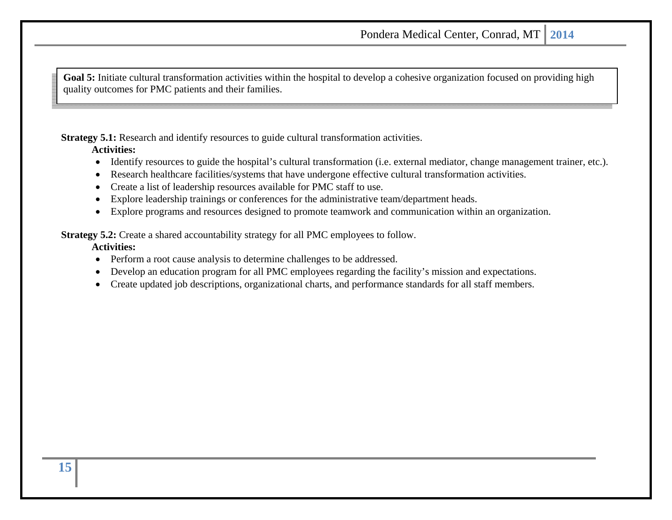**Goal 5:** Initiate cultural transformation activities within the hospital to develop a cohesive organization focused on providing high quality outcomes for PMC patients and their families.

**Strategy 5.1:** Research and identify resources to guide cultural transformation activities.

#### **Activities:**

- Identify resources to guide the hospital's cultural transformation (i.e. external mediator, change management trainer, etc.).
- 0 Research healthcare facilities/systems that have undergone effective cultural transformation activities.
- Create a list of leadership resources available for PMC staff to use.
- . Explore leadership trainings or conferences for the administrative team/department heads.
- Explore programs and resources designed to promote teamwork and communication within an organization.

**Strategy 5.2:** Create a shared accountability strategy for all PMC employees to follow.

#### **Activities:**

- Perform a root cause analysis to determine challenges to be addressed.
- 0 Develop an education program for all PMC employees regarding the facility's mission and expectations.
- Create updated job descriptions, organizational charts, and performance standards for all staff members.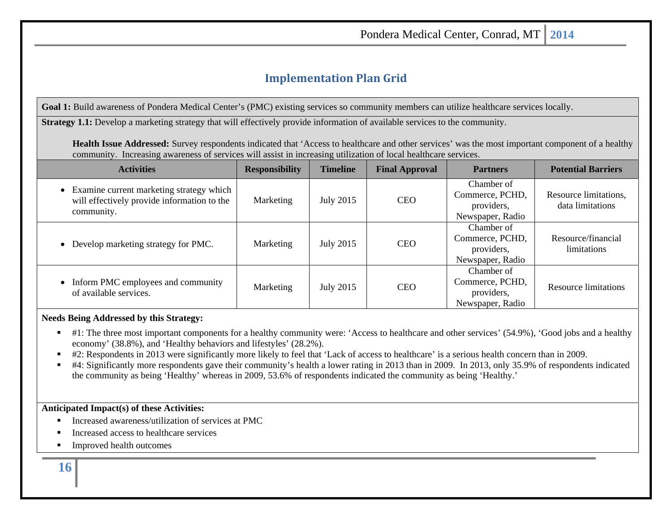# **Implementation Plan Grid**

**Goal 1:** Build awareness of Pondera Medical Center's (PMC) existing services so community members can utilize healthcare services locally.

**Strategy 1.1:** Develop a marketing strategy that will effectively provide information of available services to the community.

**Health Issue Addressed:** Survey respondents indicated that 'Access to healthcare and other services' was the most important component of a healthy community. Increasing awareness of services will assist in increasing utilization of local healthcare services.

| <b>Activities</b>                                                                                       | <b>Responsibility</b> | <b>Timeline</b> | <b>Final Approval</b> | <b>Partners</b>                                                 | <b>Potential Barriers</b>                 |
|---------------------------------------------------------------------------------------------------------|-----------------------|-----------------|-----------------------|-----------------------------------------------------------------|-------------------------------------------|
| • Examine current marketing strategy which<br>will effectively provide information to the<br>community. | Marketing             | July 2015       | <b>CEO</b>            | Chamber of<br>Commerce, PCHD,<br>providers,<br>Newspaper, Radio | Resource limitations,<br>data limitations |
| • Develop marketing strategy for PMC.                                                                   | Marketing             | July 2015       | <b>CEO</b>            | Chamber of<br>Commerce, PCHD,<br>providers,<br>Newspaper, Radio | Resource/financial<br>limitations         |
| • Inform PMC employees and community<br>of available services.                                          | Marketing             | July 2015       | <b>CEO</b>            | Chamber of<br>Commerce, PCHD,<br>providers,<br>Newspaper, Radio | <b>Resource limitations</b>               |

**Needs Being Addressed by this Strategy:**

- #1: The three most important components for a healthy community were: 'Access to healthcare and other services' (54.9%), 'Good jobs and a healthy economy' (38.8%), and 'Healthy behaviors and lifestyles' (28.2%).
- ٠ #2: Respondents in 2013 were significantly more likely to feel that 'Lack of access to healthcare' is a serious health concern than in 2009.
- $\blacksquare$ #4: Significantly more respondents gave their community's health a lower rating in 2013 than in 2009. In 2013, only 35.9% of respondents indicated the community as being 'Healthy' whereas in 2009, 53.6% of respondents indicated the community as being 'Healthy.'

#### **Anticipated Impact(s) of these Activities:**

- $\blacksquare$ Increased awareness/utilization of services at PMC
- $\blacksquare$ Increased access to healthcare services
- Г Improved health outcomes

# **16**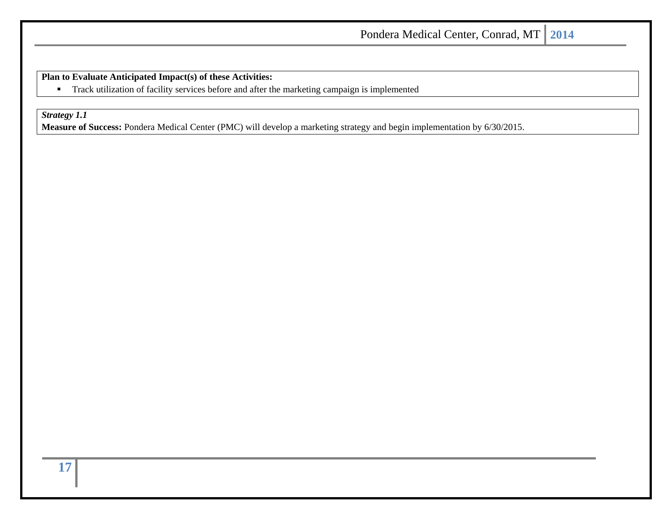**Plan to Evaluate Anticipated Impact(s) of these Activities:** 

 $\blacksquare$ Track utilization of facility services before and after the marketing campaign is implemented

*Strategy 1.1* 

**Measure of Success:** Pondera Medical Center (PMC) will develop a marketing strategy and begin implementation by 6/30/2015.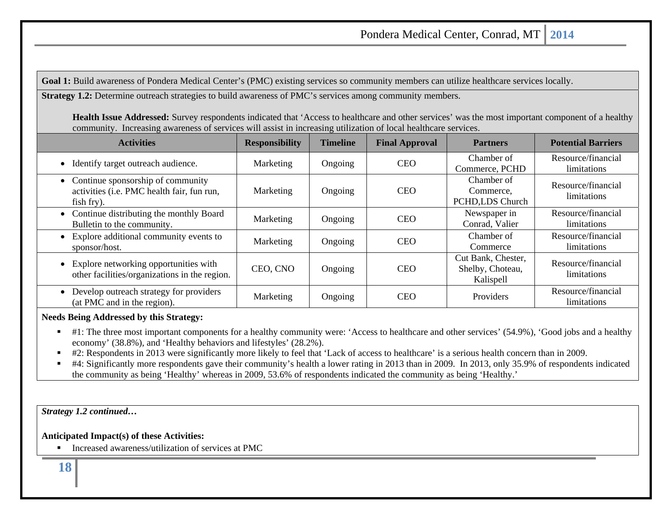**Goal 1:** Build awareness of Pondera Medical Center's (PMC) existing services so community members can utilize healthcare services locally.

**Strategy 1.2:** Determine outreach strategies to build awareness of PMC's services among community members.

**Health Issue Addressed:** Survey respondents indicated that 'Access to healthcare and other services' was the most important component of a healthy community. Increasing awareness of services will assist in increasing utilization of local healthcare services.

| <b>Activities</b>                                                                               | <b>Responsibility</b> | <b>Timeline</b> | <b>Final Approval</b> | <b>Partners</b>                                     | <b>Potential Barriers</b>         |
|-------------------------------------------------------------------------------------------------|-----------------------|-----------------|-----------------------|-----------------------------------------------------|-----------------------------------|
| • Identify target outreach audience.                                                            | Marketing             | Ongoing         | <b>CEO</b>            | Chamber of<br>Commerce, PCHD                        | Resource/financial<br>limitations |
| • Continue sponsorship of community<br>activities (i.e. PMC health fair, fun run,<br>fish fry). | Marketing             | Ongoing         | <b>CEO</b>            | Chamber of<br>Commerce,<br>PCHD,LDS Church          | Resource/financial<br>limitations |
| • Continue distributing the monthly Board<br>Bulletin to the community.                         | Marketing             | Ongoing         | <b>CEO</b>            | Newspaper in<br>Conrad, Valier                      | Resource/financial<br>limitations |
| • Explore additional community events to<br>sponsor/host.                                       | Marketing             | Ongoing         | <b>CEO</b>            | Chamber of<br>Commerce                              | Resource/financial<br>limitations |
| • Explore networking opportunities with<br>other facilities/organizations in the region.        | CEO, CNO              | Ongoing         | <b>CEO</b>            | Cut Bank, Chester,<br>Shelby, Choteau,<br>Kalispell | Resource/financial<br>limitations |
| • Develop outreach strategy for providers<br>(at PMC and in the region).                        | Marketing             | Ongoing         | <b>CEO</b>            | <b>Providers</b>                                    | Resource/financial<br>limitations |

#### **Needs Being Addressed by this Strategy:**

- #1: The three most important components for a healthy community were: 'Access to healthcare and other services' (54.9%), 'Good jobs and a healthy economy' (38.8%), and 'Healthy behaviors and lifestyles' (28.2%).
- ٠ #2: Respondents in 2013 were significantly more likely to feel that 'Lack of access to healthcare' is a serious health concern than in 2009.
- $\blacksquare$ #4: Significantly more respondents gave their community's health a lower rating in 2013 than in 2009. In 2013, only 35.9% of respondents indicated the community as being 'Healthy' whereas in 2009, 53.6% of respondents indicated the community as being 'Healthy.'

*Strategy 1.2 continued…* 

#### **Anticipated Impact(s) of these Activities:**

**I** Increased awareness/utilization of services at PMC

**18**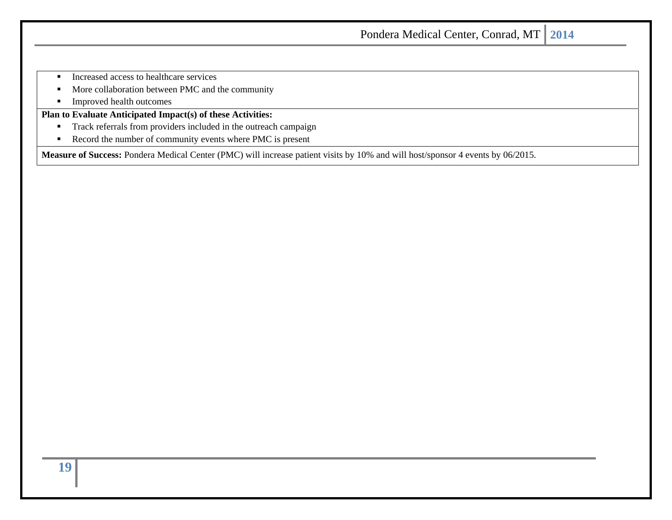- $\blacksquare$ Increased access to healthcare services
- $\blacksquare$ More collaboration between PMC and the community
- $\blacksquare$ Improved health outcomes

**Plan to Evaluate Anticipated Impact(s) of these Activities:** 

- $\blacksquare$ Track referrals from providers included in the outreach campaign
- $\blacksquare$ Record the number of community events where PMC is present

**Measure of Success:** Pondera Medical Center (PMC) will increase patient visits by 10% and will host/sponsor 4 events by 06/2015.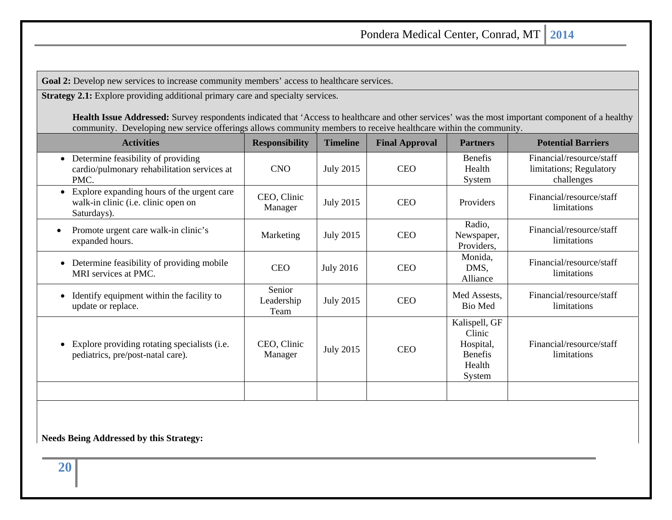Goal 2: Develop new services to increase community members' access to healthcare services.

**Strategy 2.1:** Explore providing additional primary care and specialty services.

**Health Issue Addressed:** Survey respondents indicated that 'Access to healthcare and other services' was the most important component of a healthy community. Developing new service offerings allows community members to receive healthcare within the community.

| <b>Activities</b>                                                                                      | <b>Responsibility</b>        | <b>Timeline</b>  | <b>Final Approval</b> | <b>Partners</b>                                                            | <b>Potential Barriers</b>                                         |
|--------------------------------------------------------------------------------------------------------|------------------------------|------------------|-----------------------|----------------------------------------------------------------------------|-------------------------------------------------------------------|
| Determine feasibility of providing<br>$\bullet$<br>cardio/pulmonary rehabilitation services at<br>PMC. | <b>CNO</b>                   | <b>July 2015</b> | <b>CEO</b>            | <b>Benefis</b><br>Health<br>System                                         | Financial/resource/staff<br>limitations; Regulatory<br>challenges |
| Explore expanding hours of the urgent care<br>walk-in clinic (i.e. clinic open on<br>Saturdays).       | CEO, Clinic<br>Manager       | <b>July 2015</b> | <b>CEO</b>            | Providers                                                                  | Financial/resource/staff<br>limitations                           |
| Promote urgent care walk-in clinic's<br>$\bullet$<br>expanded hours.                                   | Marketing                    | <b>July 2015</b> | <b>CEO</b>            | Radio,<br>Newspaper,<br>Providers,                                         | Financial/resource/staff<br>limitations                           |
| Determine feasibility of providing mobile<br>$\bullet$<br>MRI services at PMC.                         | <b>CEO</b>                   | <b>July 2016</b> | <b>CEO</b>            | Monida,<br>DMS,<br>Alliance                                                | Financial/resource/staff<br>limitations                           |
| Identify equipment within the facility to<br>$\bullet$<br>update or replace.                           | Senior<br>Leadership<br>Team | <b>July 2015</b> | <b>CEO</b>            | Med Assests,<br><b>Bio Med</b>                                             | Financial/resource/staff<br>limitations                           |
| Explore providing rotating specialists (i.e.<br>pediatrics, pre/post-natal care).                      | CEO, Clinic<br>Manager       | <b>July 2015</b> | <b>CEO</b>            | Kalispell, GF<br>Clinic<br>Hospital,<br><b>Benefis</b><br>Health<br>System | Financial/resource/staff<br>limitations                           |
|                                                                                                        |                              |                  |                       |                                                                            |                                                                   |

**Needs Being Addressed by this Strategy:**

**20**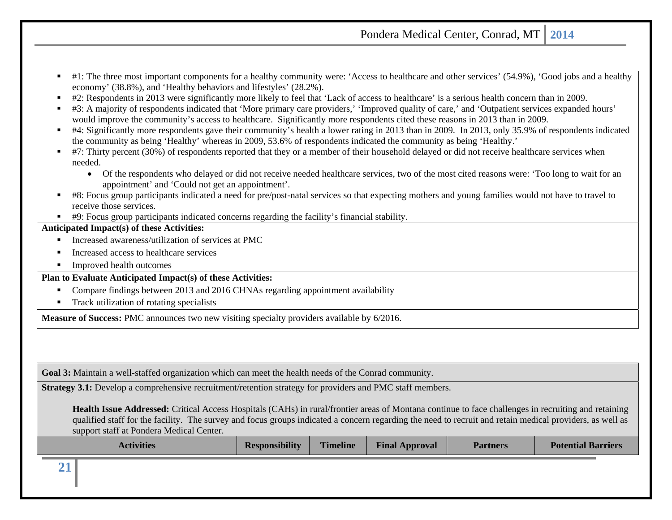- ٠ #1: The three most important components for a healthy community were: 'Access to healthcare and other services' (54.9%), 'Good jobs and a healthy economy' (38.8%), and 'Healthy behaviors and lifestyles' (28.2%).
- Г #2: Respondents in 2013 were significantly more likely to feel that 'Lack of access to healthcare' is a serious health concern than in 2009.
- ▙ #3: A majority of respondents indicated that 'More primary care providers,' 'Improved quality of care,' and 'Outpatient services expanded hours' would improve the community's access to healthcare. Significantly more respondents cited these reasons in 2013 than in 2009.
- Г #4: Significantly more respondents gave their community's health a lower rating in 2013 than in 2009. In 2013, only 35.9% of respondents indicated the community as being 'Healthy' whereas in 2009, 53.6% of respondents indicated the community as being 'Healthy.'
- $\blacksquare$  #7: Thirty percent (30%) of respondents reported that they or a member of their household delayed or did not receive healthcare services when needed.
	- Of the respondents who delayed or did not receive needed healthcare services, two of the most cited reasons were: 'Too long to wait for an appointment' and 'Could not get an appointment'.
- ٠ #8: Focus group participants indicated a need for pre/post-natal services so that expecting mothers and young families would not have to travel to receive those services.
- #9: Focus group participants indicated concerns regarding the facility's financial stability.

#### **Anticipated Impact(s) of these Activities:**

- $\blacksquare$ Increased awareness/utilization of services at PMC
- ▙ Increased access to healthcare services
- ٠ Improved health outcomes

#### **Plan to Evaluate Anticipated Impact(s) of these Activities:**

- $\blacksquare$ Compare findings between 2013 and 2016 CHNAs regarding appointment availability
- $\blacksquare$ Track utilization of rotating specialists

**Measure of Success:** PMC announces two new visiting specialty providers available by 6/2016.

**Goal 3:** Maintain a well-staffed organization which can meet the health needs of the Conrad community.

**Strategy 3.1:** Develop a comprehensive recruitment/retention strategy for providers and PMC staff members.

**Health Issue Addressed:** Critical Access Hospitals (CAHs) in rural/frontier areas of Montana continue to face challenges in recruiting and retaining qualified staff for the facility. The survey and focus groups indicated a concern regarding the need to recruit and retain medical providers, as well as support staff at Pondera Medical Center.

| <b>Activities</b> |  |
|-------------------|--|
|                   |  |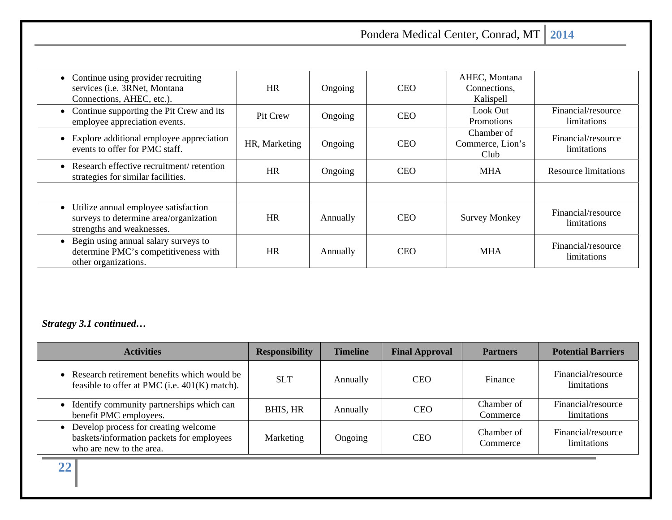| • Continue using provider recruiting<br>services (i.e. 3RNet, Montana<br>Connections, AHEC, etc.).            | <b>HR</b>     | Ongoing  | <b>CEO</b> | AHEC, Montana<br>Connections,<br>Kalispell |                                   |
|---------------------------------------------------------------------------------------------------------------|---------------|----------|------------|--------------------------------------------|-----------------------------------|
| • Continue supporting the Pit Crew and its<br>employee appreciation events.                                   | Pit Crew      | Ongoing  | <b>CEO</b> | Look Out<br><b>Promotions</b>              | Financial/resource<br>limitations |
| • Explore additional employee appreciation<br>events to offer for PMC staff.                                  | HR, Marketing | Ongoing  | <b>CEO</b> | Chamber of<br>Commerce, Lion's<br>Club     | Financial/resource<br>limitations |
| • Research effective recruitment/ retention<br>strategies for similar facilities.                             | <b>HR</b>     | Ongoing  | <b>CEO</b> | <b>MHA</b>                                 | Resource limitations              |
|                                                                                                               |               |          |            |                                            |                                   |
| • Utilize annual employee satisfaction<br>surveys to determine area/organization<br>strengths and weaknesses. | <b>HR</b>     | Annually | <b>CEO</b> | <b>Survey Monkey</b>                       | Financial/resource<br>limitations |
| • Begin using annual salary surveys to<br>determine PMC's competitiveness with<br>other organizations.        | <b>HR</b>     | Annually | <b>CEO</b> | <b>MHA</b>                                 | Financial/resource<br>limitations |

# *Strategy 3.1 continued…*

| <b>Activities</b>                                                                                               | <b>Responsibility</b> | <b>Timeline</b> | <b>Final Approval</b> | <b>Partners</b>        | <b>Potential Barriers</b>         |
|-----------------------------------------------------------------------------------------------------------------|-----------------------|-----------------|-----------------------|------------------------|-----------------------------------|
| • Research retirement benefits which would be<br>feasible to offer at PMC (i.e. $401(K)$ match).                | <b>SLT</b>            | Annually        | <b>CEO</b>            | Finance                | Financial/resource<br>limitations |
| • Identify community partnerships which can<br>benefit PMC employees.                                           | <b>BHIS, HR</b>       | Annually        | CEO                   | Chamber of<br>Commerce | Financial/resource<br>limitations |
| • Develop process for creating welcome<br>baskets/information packets for employees<br>who are new to the area. | Marketing             | Ongoing         | <b>CEO</b>            | Chamber of<br>Commerce | Financial/resource<br>limitations |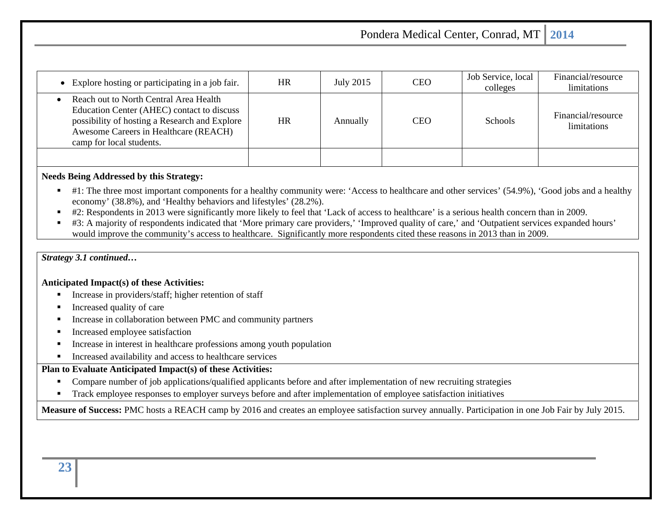| • Explore hosting or participating in a job fair.                                                                                                                                                          | HR | July 2015 | <b>CEO</b> | Job Service, local<br>colleges | Financial/resource<br>limitations |
|------------------------------------------------------------------------------------------------------------------------------------------------------------------------------------------------------------|----|-----------|------------|--------------------------------|-----------------------------------|
| Reach out to North Central Area Health<br>Education Center (AHEC) contact to discuss<br>possibility of hosting a Research and Explore<br>Awesome Careers in Healthcare (REACH)<br>camp for local students. | HR | Annually  | <b>CEO</b> | <b>Schools</b>                 | Financial/resource<br>limitations |
|                                                                                                                                                                                                            |    |           |            |                                |                                   |

#### **Needs Being Addressed by this Strategy:**

- #1: The three most important components for a healthy community were: 'Access to healthcare and other services' (54.9%), 'Good jobs and a healthy economy' (38.8%), and 'Healthy behaviors and lifestyles' (28.2%).
- $\blacksquare$ #2: Respondents in 2013 were significantly more likely to feel that 'Lack of access to healthcare' is a serious health concern than in 2009.
- ٠ #3: A majority of respondents indicated that 'More primary care providers,' 'Improved quality of care,' and 'Outpatient services expanded hours' would improve the community's access to healthcare. Significantly more respondents cited these reasons in 2013 than in 2009.

#### *Strategy 3.1 continued…*

#### **Anticipated Impact(s) of these Activities:**

- $\blacksquare$ Increase in providers/staff; higher retention of staff
- ▙ Increased quality of care
- ٠ Increase in collaboration between PMC and community partners
- Г Increased employee satisfaction
- Г Increase in interest in healthcare professions among youth population
- $\blacksquare$ Increased availability and access to healthcare services

#### **Plan to Evaluate Anticipated Impact(s) of these Activities:**

- $\blacksquare$ Compare number of job applications/qualified applicants before and after implementation of new recruiting strategies
- $\blacksquare$ Track employee responses to employer surveys before and after implementation of employee satisfaction initiatives

**Measure of Success:** PMC hosts a REACH camp by 2016 and creates an employee satisfaction survey annually. Participation in one Job Fair by July 2015.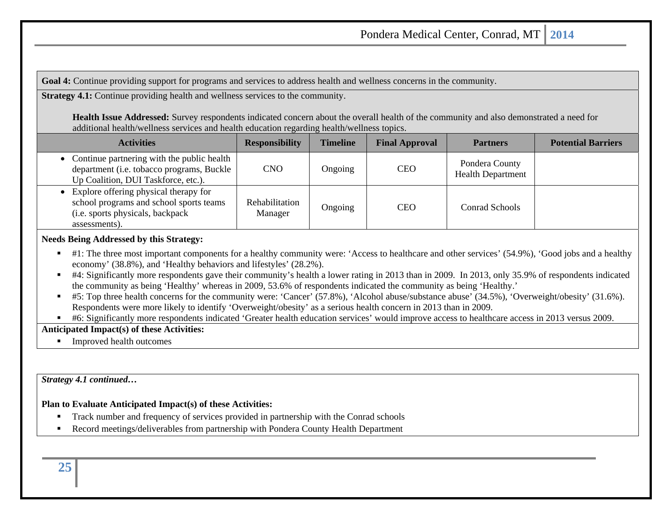**Goal 4:** Continue providing support for programs and services to address health and wellness concerns in the community.

**Strategy 4.1:** Continue providing health and wellness services to the community.

**Health Issue Addressed:** Survey respondents indicated concern about the overall health of the community and also demonstrated a need for additional health/wellness services and health education regarding health/wellness topics.

| <b>Activities</b>                                                                                                                     | <b>Responsibility</b>     | <b>Timeline</b> | <b>Final Approval</b> | <b>Partners</b>                            | <b>Potential Barriers</b> |
|---------------------------------------------------------------------------------------------------------------------------------------|---------------------------|-----------------|-----------------------|--------------------------------------------|---------------------------|
| • Continue partnering with the public health<br>department (i.e. tobacco programs, Buckle<br>Up Coalition, DUI Taskforce, etc.).      | <b>CNO</b>                | Ongoing         | <b>CEO</b>            | Pondera County<br><b>Health Department</b> |                           |
| Explore offering physical therapy for<br>school programs and school sports teams<br>(i.e. sports physicals, backpack<br>assessments). | Rehabilitation<br>Manager | Ongoing         | <b>CEO</b>            | Conrad Schools                             |                           |

#### **Needs Being Addressed by this Strategy:**

- $\blacksquare$  #1: The three most important components for a healthy community were: 'Access to healthcare and other services' (54.9%), 'Good jobs and a healthy economy' (38.8%), and 'Healthy behaviors and lifestyles' (28.2%).
- #4: Significantly more respondents gave their community's health a lower rating in 2013 than in 2009. In 2013, only 35.9% of respondents indicated the community as being 'Healthy' whereas in 2009, 53.6% of respondents indicated the community as being 'Healthy.'
- ٠ #5: Top three health concerns for the community were: 'Cancer' (57.8%), 'Alcohol abuse/substance abuse' (34.5%), 'Overweight/obesity' (31.6%). Respondents were more likely to identify 'Overweight/obesity' as a serious health concern in 2013 than in 2009.
- #6: Significantly more respondents indicated 'Greater health education services' would improve access to healthcare access in 2013 versus 2009.

#### **Anticipated Impact(s) of these Activities:**

**Improved health outcomes** 

#### *Strategy 4.1 continued…*

#### **Plan to Evaluate Anticipated Impact(s) of these Activities:**

- $\blacksquare$ Track number and frequency of services provided in partnership with the Conrad schools
- ٠ Record meetings/deliverables from partnership with Pondera County Health Department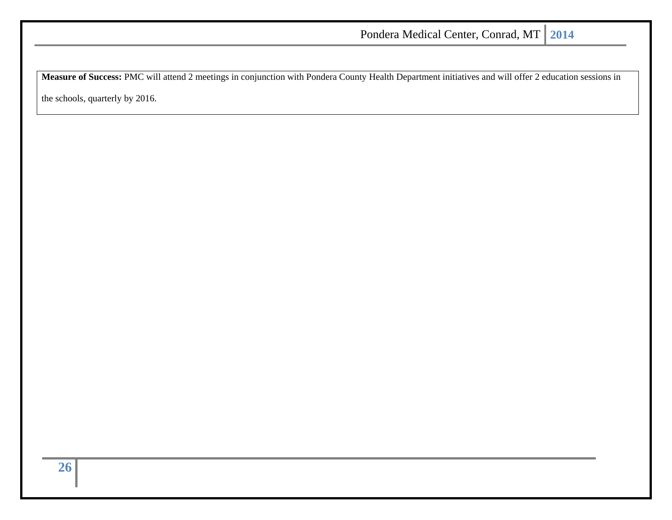**Measure of Success:** PMC will attend 2 meetings in conjunction with Pondera County Health Department initiatives and will offer 2 education sessions in

the schools, quarterly by 2016.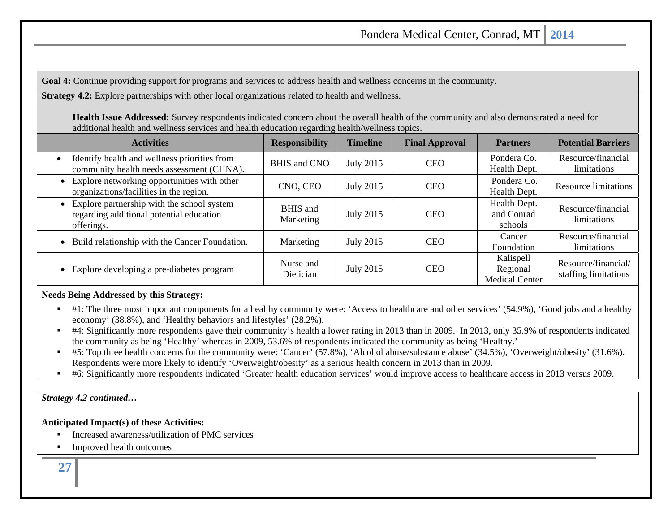**Goal 4:** Continue providing support for programs and services to address health and wellness concerns in the community.

**Strategy 4.2:** Explore partnerships with other local organizations related to health and wellness.

**Health Issue Addressed:** Survey respondents indicated concern about the overall health of the community and also demonstrated a need for additional health and wellness services and health education regarding health/wellness topics.

| <b>Activities</b>                                                                                      | <b>Responsibility</b>        | <b>Timeline</b>  | <b>Final Approval</b> | <b>Partners</b>                                | <b>Potential Barriers</b>                   |
|--------------------------------------------------------------------------------------------------------|------------------------------|------------------|-----------------------|------------------------------------------------|---------------------------------------------|
| Identify health and wellness priorities from<br>community health needs assessment (CHNA).              | <b>BHIS</b> and CNO          | <b>July 2015</b> | <b>CEO</b>            | Pondera Co.<br>Health Dept.                    | Resource/financial<br>limitations           |
| • Explore networking opportunities with other<br>organizations/facilities in the region.               | CNO, CEO                     | <b>July 2015</b> | <b>CEO</b>            | Pondera Co.<br>Health Dept.                    | Resource limitations                        |
| • Explore partnership with the school system<br>regarding additional potential education<br>offerings. | <b>BHIS</b> and<br>Marketing | <b>July 2015</b> | <b>CEO</b>            | Health Dept.<br>and Conrad<br>schools          | Resource/financial<br>limitations           |
| • Build relationship with the Cancer Foundation.                                                       | Marketing                    | <b>July 2015</b> | <b>CEO</b>            | Cancer<br>Foundation                           | Resource/financial<br>limitations           |
| • Explore developing a pre-diabetes program                                                            | Nurse and<br>Dietician       | <b>July 2015</b> | <b>CEO</b>            | Kalispell<br>Regional<br><b>Medical Center</b> | Resource/financial/<br>staffing limitations |

#### **Needs Being Addressed by this Strategy:**

- #1: The three most important components for a healthy community were: 'Access to healthcare and other services' (54.9%), 'Good jobs and a healthy economy' (38.8%), and 'Healthy behaviors and lifestyles' (28.2%).
- #4: Significantly more respondents gave their community's health a lower rating in 2013 than in 2009. In 2013, only 35.9% of respondents indicated the community as being 'Healthy' whereas in 2009, 53.6% of respondents indicated the community as being 'Healthy.'
- $\blacksquare$  #5: Top three health concerns for the community were: 'Cancer' (57.8%), 'Alcohol abuse/substance abuse' (34.5%), 'Overweight/obesity' (31.6%). Respondents were more likely to identify 'Overweight/obesity' as a serious health concern in 2013 than in 2009.
- $\blacksquare$ #6: Significantly more respondents indicated 'Greater health education services' would improve access to healthcare access in 2013 versus 2009.

*Strategy 4.2 continued…* 

**Anticipated Impact(s) of these Activities:** 

- $\blacksquare$ Increased awareness/utilization of PMC services
- $\blacksquare$ Improved health outcomes

**27**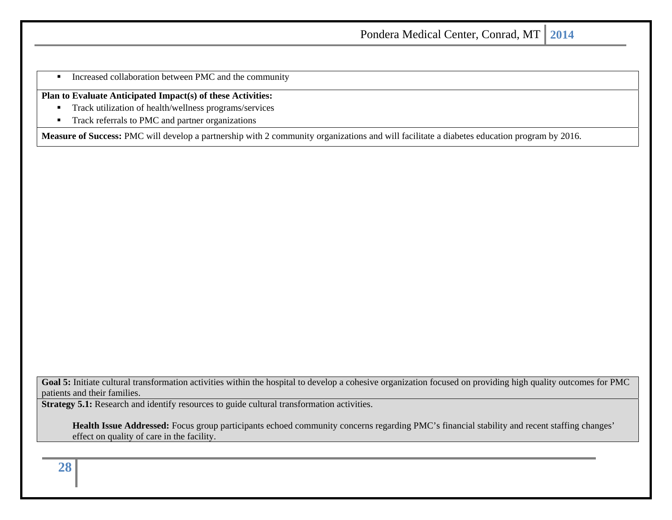$\blacksquare$ Increased collaboration between PMC and the community

**Plan to Evaluate Anticipated Impact(s) of these Activities:** 

- $\blacksquare$ Track utilization of health/wellness programs/services
- $\blacksquare$ Track referrals to PMC and partner organizations

**Measure of Success:** PMC will develop a partnership with 2 community organizations and will facilitate a diabetes education program by 2016.

Goal 5: Initiate cultural transformation activities within the hospital to develop a cohesive organization focused on providing high quality outcomes for PMC patients and their families.

**Strategy 5.1:** Research and identify resources to guide cultural transformation activities.

Health Issue Addressed: Focus group participants echoed community concerns regarding PMC's financial stability and recent staffing changes' effect on quality of care in the facility.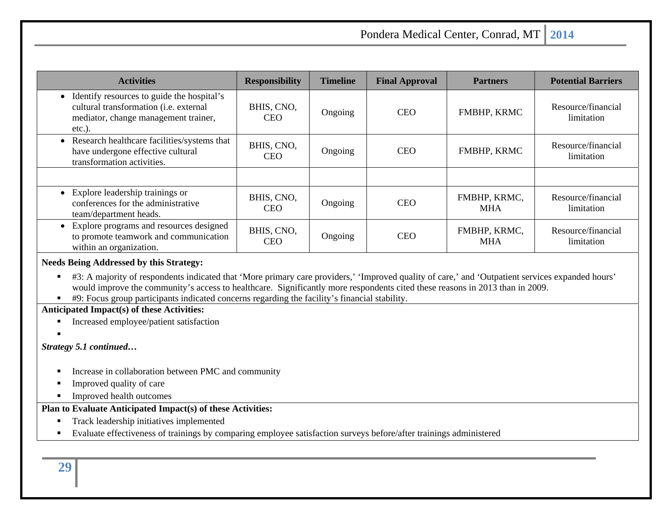| <b>Activities</b>                                                                                                                         | <b>Responsibility</b>    | <b>Timeline</b> | <b>Final Approval</b> | <b>Partners</b>            | <b>Potential Barriers</b>        |
|-------------------------------------------------------------------------------------------------------------------------------------------|--------------------------|-----------------|-----------------------|----------------------------|----------------------------------|
| Identify resources to guide the hospital's<br>cultural transformation (i.e. external<br>mediator, change management trainer,<br>$etc.$ ). | BHIS, CNO,<br><b>CEO</b> | Ongoing         | <b>CEO</b>            | FMBHP, KRMC                | Resource/financial<br>limitation |
| Research healthcare facilities/systems that<br>have undergone effective cultural<br>transformation activities.                            | BHIS, CNO,<br><b>CEO</b> | Ongoing         | <b>CEO</b>            | FMBHP, KRMC                | Resource/financial<br>limitation |
|                                                                                                                                           |                          |                 |                       |                            |                                  |
| Explore leadership trainings or<br>conferences for the administrative<br>team/department heads.                                           | BHIS, CNO,<br><b>CEO</b> | Ongoing         | <b>CEO</b>            | FMBHP, KRMC,<br><b>MHA</b> | Resource/financial<br>limitation |
| Explore programs and resources designed<br>to promote teamwork and communication<br>within an organization.                               | BHIS, CNO,<br><b>CEO</b> | Ongoing         | <b>CEO</b>            | FMBHP, KRMC,<br>MHA        | Resource/financial<br>limitation |

#### **Needs Being Addressed by this Strategy:**

- #3: A majority of respondents indicated that 'More primary care providers,' 'Improved quality of care,' and 'Outpatient services expanded hours' would improve the community's access to healthcare. Significantly more respondents cited these reasons in 2013 than in 2009.
- #9: Focus group participants indicated concerns regarding the facility's financial stability.

#### **Anticipated Impact(s) of these Activities:**

- Increased employee/patient satisfaction
- ▙

#### *Strategy 5.1 continued…*

- $\blacksquare$ Increase in collaboration between PMC and community
- ▙ Improved quality of care
- $\blacksquare$ Improved health outcomes

#### **Plan to Evaluate Anticipated Impact(s) of these Activities:**

- $\blacksquare$ Track leadership initiatives implemented
- $\blacksquare$ Evaluate effectiveness of trainings by comparing employee satisfaction surveys before/after trainings administered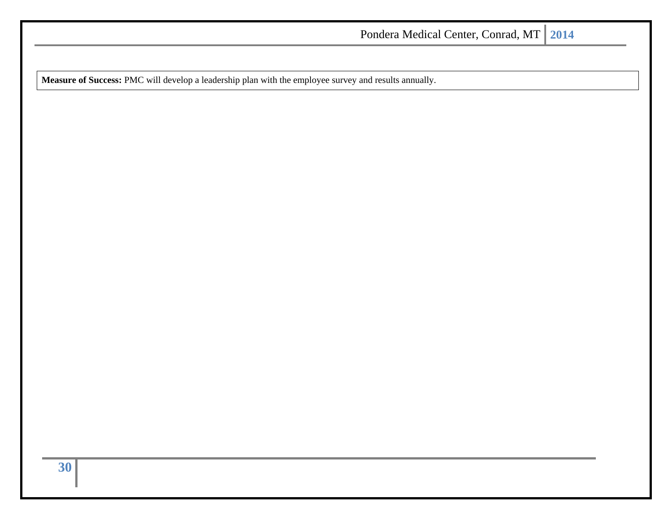**Measure of Success:** PMC will develop a leadership plan with the employee survey and results annually.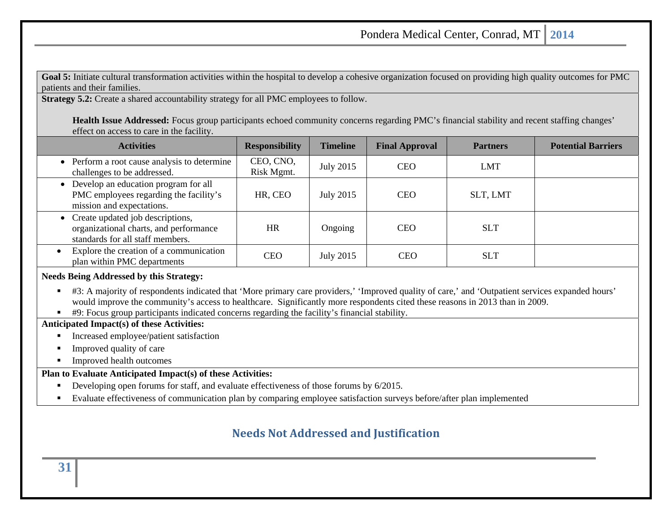Goal 5: Initiate cultural transformation activities within the hospital to develop a cohesive organization focused on providing high quality outcomes for PMC patients and their families.

**Strategy 5.2:** Create a shared accountability strategy for all PMC employees to follow.

**Health Issue Addressed:** Focus group participants echoed community concerns regarding PMC's financial stability and recent staffing changes' effect on access to care in the facility.

| <b>Activities</b>                                                                                                | <b>Responsibility</b>   | <b>Timeline</b> | <b>Final Approval</b> | <b>Partners</b> | <b>Potential Barriers</b> |
|------------------------------------------------------------------------------------------------------------------|-------------------------|-----------------|-----------------------|-----------------|---------------------------|
| • Perform a root cause analysis to determine<br>challenges to be addressed.                                      | CEO, CNO,<br>Risk Mgmt. | July 2015       | <b>CEO</b>            | <b>LMT</b>      |                           |
| • Develop an education program for all<br>PMC employees regarding the facility's<br>mission and expectations.    | HR, CEO                 | July 2015       | <b>CEO</b>            | SLT, LMT        |                           |
| • Create updated job descriptions,<br>organizational charts, and performance<br>standards for all staff members. | <b>HR</b>               | Ongoing         | <b>CEO</b>            | <b>SLT</b>      |                           |
| Explore the creation of a communication<br>plan within PMC departments                                           | <b>CEO</b>              | July 2015       | <b>CEO</b>            | <b>SLT</b>      |                           |

#### **Needs Being Addressed by this Strategy:**

- #3: A majority of respondents indicated that 'More primary care providers,' 'Improved quality of care,' and 'Outpatient services expanded hours' would improve the community's access to healthcare. Significantly more respondents cited these reasons in 2013 than in 2009.
- #9: Focus group participants indicated concerns regarding the facility's financial stability.

#### **Anticipated Impact(s) of these Activities:**

- $\blacksquare$ Increased employee/patient satisfaction
- ٠ Improved quality of care
- $\blacksquare$ Improved health outcomes

#### **Plan to Evaluate Anticipated Impact(s) of these Activities:**

- $\blacksquare$ Developing open forums for staff, and evaluate effectiveness of those forums by 6/2015.
- $\blacksquare$ Evaluate effectiveness of communication plan by comparing employee satisfaction surveys before/after plan implemented

# **Needs Not Addressed and Justification**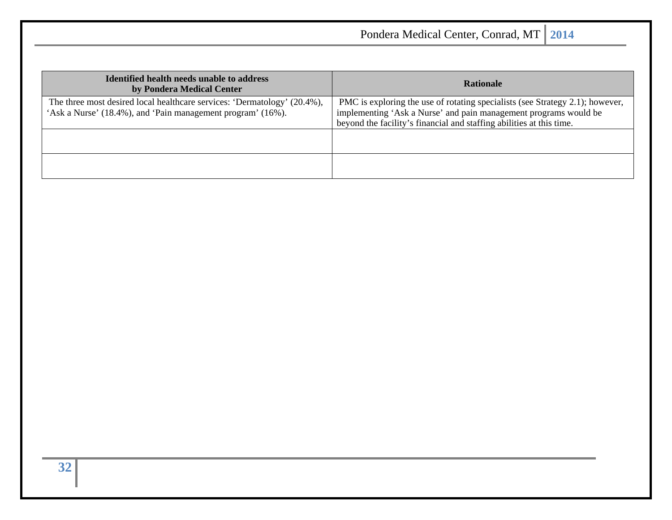| Identified health needs unable to address<br>by Pondera Medical Center                                                                  | <b>Rationale</b>                                                                                                                                                                                                          |
|-----------------------------------------------------------------------------------------------------------------------------------------|---------------------------------------------------------------------------------------------------------------------------------------------------------------------------------------------------------------------------|
| The three most desired local healthcare services: 'Dermatology' (20.4%),<br>'Ask a Nurse' (18.4%), and 'Pain management program' (16%). | PMC is exploring the use of rotating specialists (see Strategy 2.1); however,<br>implementing 'Ask a Nurse' and pain management programs would be<br>beyond the facility's financial and staffing abilities at this time. |
|                                                                                                                                         |                                                                                                                                                                                                                           |
|                                                                                                                                         |                                                                                                                                                                                                                           |